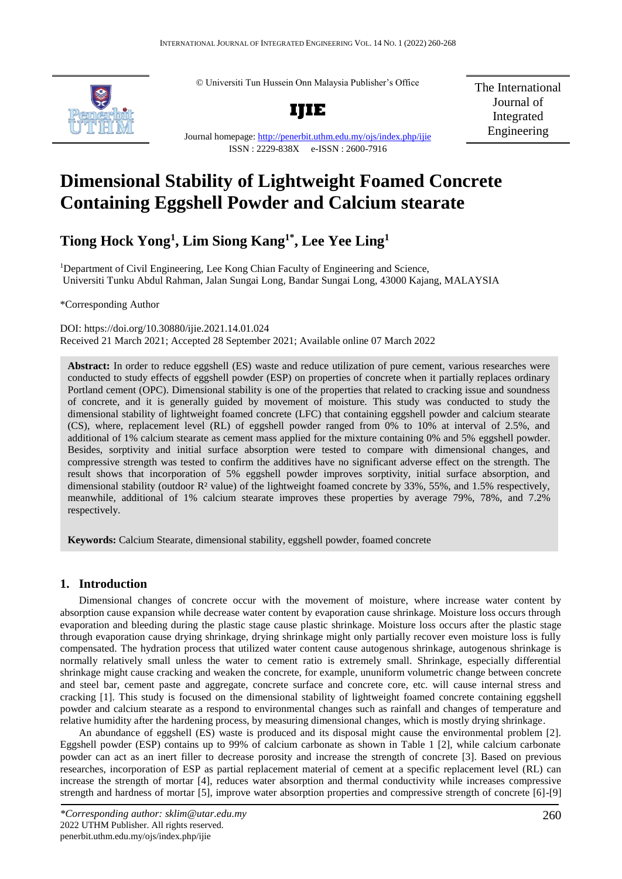© Universiti Tun Hussein Onn Malaysia Publisher's Office



Journal homepage:<http://penerbit.uthm.edu.my/ojs/index.php/ijie>

ISSN : 2229-838X e-ISSN : 2600-7916

The International Journal of Integrated Engineering

# **Dimensional Stability of Lightweight Foamed Concrete Containing Eggshell Powder and Calcium stearate**

# **Tiong Hock Yong<sup>1</sup> , Lim Siong Kang1\*, Lee Yee Ling<sup>1</sup>**

<sup>1</sup>Department of Civil Engineering, Lee Kong Chian Faculty of Engineering and Science, Universiti Tunku Abdul Rahman, Jalan Sungai Long, Bandar Sungai Long, 43000 Kajang, MALAYSIA

\*Corresponding Author

DOI: https://doi.org/10.30880/ijie.2021.14.01.024 Received 21 March 2021; Accepted 28 September 2021; Available online 07 March 2022

**Abstract:** In order to reduce eggshell (ES) waste and reduce utilization of pure cement, various researches were conducted to study effects of eggshell powder (ESP) on properties of concrete when it partially replaces ordinary Portland cement (OPC). Dimensional stability is one of the properties that related to cracking issue and soundness of concrete, and it is generally guided by movement of moisture. This study was conducted to study the dimensional stability of lightweight foamed concrete (LFC) that containing eggshell powder and calcium stearate (CS), where, replacement level (RL) of eggshell powder ranged from 0% to 10% at interval of 2.5%, and additional of 1% calcium stearate as cement mass applied for the mixture containing 0% and 5% eggshell powder. Besides, sorptivity and initial surface absorption were tested to compare with dimensional changes, and compressive strength was tested to confirm the additives have no significant adverse effect on the strength. The result shows that incorporation of 5% eggshell powder improves sorptivity, initial surface absorption, and dimensional stability (outdoor R² value) of the lightweight foamed concrete by 33%, 55%, and 1.5% respectively, meanwhile, additional of 1% calcium stearate improves these properties by average 79%, 78%, and 7.2% respectively.

**Keywords:** Calcium Stearate, dimensional stability, eggshell powder, foamed concrete

# **1. Introduction**

Dimensional changes of concrete occur with the movement of moisture, where increase water content by absorption cause expansion while decrease water content by evaporation cause shrinkage. Moisture loss occurs through evaporation and bleeding during the plastic stage cause plastic shrinkage. Moisture loss occurs after the plastic stage through evaporation cause drying shrinkage, drying shrinkage might only partially recover even moisture loss is fully compensated. The hydration process that utilized water content cause autogenous shrinkage, autogenous shrinkage is normally relatively small unless the water to cement ratio is extremely small. Shrinkage, especially differential shrinkage might cause cracking and weaken the concrete, for example, ununiform volumetric change between concrete and steel bar, cement paste and aggregate, concrete surface and concrete core, etc. will cause internal stress and cracking [1]. This study is focused on the dimensional stability of lightweight foamed concrete containing eggshell powder and calcium stearate as a respond to environmental changes such as rainfall and changes of temperature and relative humidity after the hardening process, by measuring dimensional changes, which is mostly drying shrinkage.

An abundance of eggshell (ES) waste is produced and its disposal might cause the environmental problem [2]. Eggshell powder (ESP) contains up to 99% of calcium carbonate as shown in Table 1 [2], while calcium carbonate powder can act as an inert filler to decrease porosity and increase the strength of concrete [3]. Based on previous researches, incorporation of ESP as partial replacement material of cement at a specific replacement level (RL) can increase the strength of mortar [4], reduces water absorption and thermal conductivity while increases compressive strength and hardness of mortar [5], improve water absorption properties and compressive strength of concrete [6]-[9]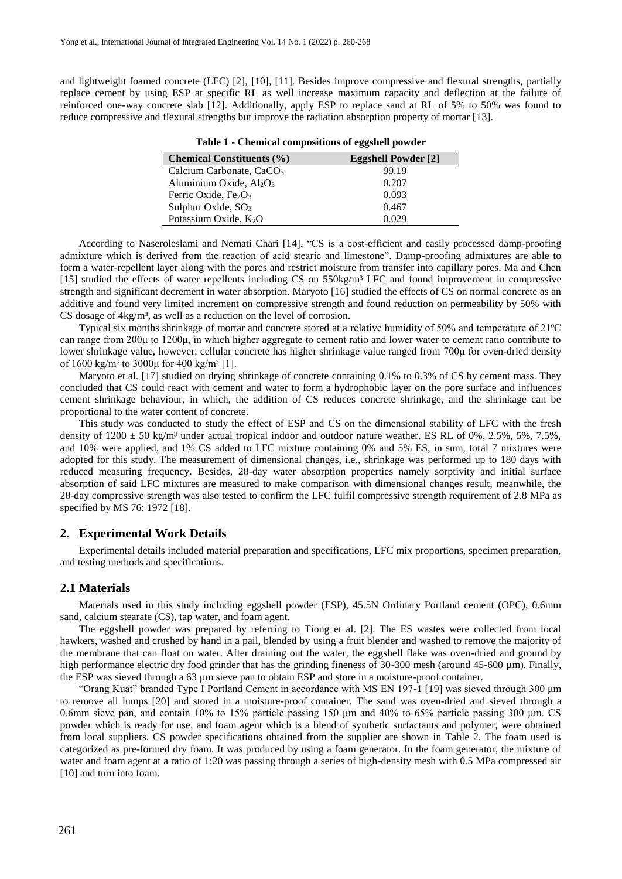and lightweight foamed concrete (LFC) [2], [10], [11]. Besides improve compressive and flexural strengths, partially replace cement by using ESP at specific RL as well increase maximum capacity and deflection at the failure of reinforced one-way concrete slab [12]. Additionally, apply ESP to replace sand at RL of 5% to 50% was found to reduce compressive and flexural strengths but improve the radiation absorption property of mortar [13].

| <b>Chemical Constituents (%)</b>     | <b>Eggshell Powder</b> [2] |
|--------------------------------------|----------------------------|
| Calcium Carbonate, CaCO <sub>3</sub> | 99.19                      |
| Aluminium Oxide, $Al_2O_3$           | 0.207                      |
| Ferric Oxide, $Fe2O3$                | 0.093                      |
| Sulphur Oxide, $SO_3$                | 0.467                      |
| Potassium Oxide, $K_2O$              | 0.029                      |

**Table 1 - Chemical compositions of eggshell powder**

According to Naseroleslami and Nemati Chari [14], "CS is a cost-efficient and easily processed damp-proofing admixture which is derived from the reaction of acid stearic and limestone". Damp-proofing admixtures are able to form a water-repellent layer along with the pores and restrict moisture from transfer into capillary pores. Ma and Chen [15] studied the effects of water repellents including CS on 550kg/m<sup>3</sup> LFC and found improvement in compressive strength and significant decrement in water absorption. Maryoto [16] studied the effects of CS on normal concrete as an additive and found very limited increment on compressive strength and found reduction on permeability by 50% with CS dosage of  $4kg/m<sup>3</sup>$ , as well as a reduction on the level of corrosion.

Typical six months shrinkage of mortar and concrete stored at a relative humidity of 50% and temperature of 21°C can range from 200μ to 1200μ, in which higher aggregate to cement ratio and lower water to cement ratio contribute to lower shrinkage value, however, cellular concrete has higher shrinkage value ranged from 700μ for oven-dried density of  $1600 \text{ kg/m}^3$  to  $3000\mu$  for  $400 \text{ kg/m}^3$  [1].

Maryoto et al. [17] studied on drying shrinkage of concrete containing 0.1% to 0.3% of CS by cement mass. They concluded that CS could react with cement and water to form a hydrophobic layer on the pore surface and influences cement shrinkage behaviour, in which, the addition of CS reduces concrete shrinkage, and the shrinkage can be proportional to the water content of concrete.

This study was conducted to study the effect of ESP and CS on the dimensional stability of LFC with the fresh density of  $1200 \pm 50$  kg/m<sup>3</sup> under actual tropical indoor and outdoor nature weather. ES RL of 0%, 2.5%, 5%, 7.5%, and 10% were applied, and 1% CS added to LFC mixture containing 0% and 5% ES, in sum, total 7 mixtures were adopted for this study. The measurement of dimensional changes, i.e., shrinkage was performed up to 180 days with reduced measuring frequency. Besides, 28-day water absorption properties namely sorptivity and initial surface absorption of said LFC mixtures are measured to make comparison with dimensional changes result, meanwhile, the 28-day compressive strength was also tested to confirm the LFC fulfil compressive strength requirement of 2.8 MPa as specified by MS 76: 1972 [18].

# **2. Experimental Work Details**

Experimental details included material preparation and specifications, LFC mix proportions, specimen preparation, and testing methods and specifications.

#### **2.1 Materials**

Materials used in this study including eggshell powder (ESP), 45.5N Ordinary Portland cement (OPC), 0.6mm sand, calcium stearate (CS), tap water, and foam agent.

The eggshell powder was prepared by referring to Tiong et al. [2]. The ES wastes were collected from local hawkers, washed and crushed by hand in a pail, blended by using a fruit blender and washed to remove the majority of the membrane that can float on water. After draining out the water, the eggshell flake was oven-dried and ground by high performance electric dry food grinder that has the grinding fineness of 30-300 mesh (around 45-600 µm). Finally, the ESP was sieved through a 63 µm sieve pan to obtain ESP and store in a moisture-proof container.

"Orang Kuat" branded Type I Portland Cement in accordance with MS EN 197-1 [19] was sieved through 300 μm to remove all lumps [20] and stored in a moisture-proof container. The sand was oven-dried and sieved through a 0.6mm sieve pan, and contain 10% to 15% particle passing 150 μm and 40% to 65% particle passing 300 μm. CS powder which is ready for use, and foam agent which is a blend of synthetic surfactants and polymer, were obtained from local suppliers. CS powder specifications obtained from the supplier are shown in Table 2. The foam used is categorized as pre-formed dry foam. It was produced by using a foam generator. In the foam generator, the mixture of water and foam agent at a ratio of 1:20 was passing through a series of high-density mesh with 0.5 MPa compressed air [10] and turn into foam.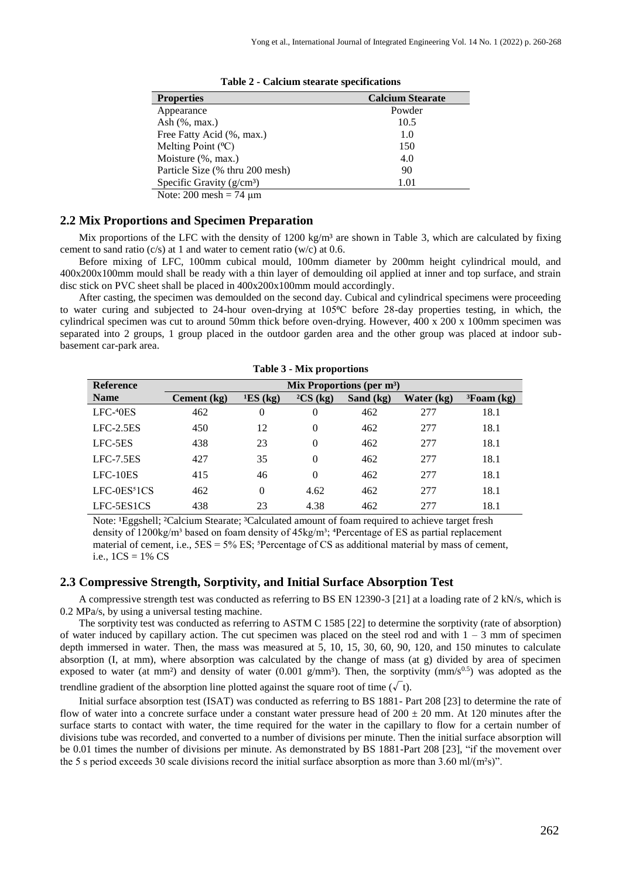| <b>Properties</b>               | <b>Calcium Stearate</b> |
|---------------------------------|-------------------------|
| Appearance                      | Powder                  |
| Ash $(\%$ , max.)               | 10.5                    |
| Free Fatty Acid (%, max.)       | 1.0                     |
| Melting Point (°C)              | 150                     |
| Moisture (%, max.)              | 4.0                     |
| Particle Size (% thru 200 mesh) | 90                      |
| Specific Gravity $(g/cm3)$      | 1.01                    |
| Note: $200$ mesh = 74 $\mu$ m   |                         |

**Table 2 - Calcium stearate specifications**

# **2.2 Mix Proportions and Specimen Preparation**

Mix proportions of the LFC with the density of  $1200 \text{ kg/m}^3$  are shown in Table 3, which are calculated by fixing cement to sand ratio  $(c/s)$  at 1 and water to cement ratio  $(w/c)$  at 0.6.

Before mixing of LFC, 100mm cubical mould, 100mm diameter by 200mm height cylindrical mould, and 400x200x100mm mould shall be ready with a thin layer of demoulding oil applied at inner and top surface, and strain disc stick on PVC sheet shall be placed in 400x200x100mm mould accordingly.

After casting, the specimen was demoulded on the second day. Cubical and cylindrical specimens were proceeding to water curing and subjected to 24-hour oven-drying at 105<sup>o</sup>C before 28-day properties testing, in which, the cylindrical specimen was cut to around 50mm thick before oven-drying. However, 400 x 200 x 100mm specimen was separated into 2 groups, 1 group placed in the outdoor garden area and the other group was placed at indoor subbasement car-park area.

|                  |                              |                | ----- p- - p - ----- |           |            |                    |
|------------------|------------------------------|----------------|----------------------|-----------|------------|--------------------|
| <b>Reference</b> | Mix Proportions (per $m^3$ ) |                |                      |           |            |                    |
| <b>Name</b>      | Cement (kg)                  | E(S(kg))       | ${}^{2}CS$ (kg)      | Sand (kg) | Water (kg) | ${}^{3}$ Foam (kg) |
| $LFC-40ES$       | 462                          | $\overline{0}$ | $\overline{0}$       | 462       | 277        | 18.1               |
| $LFC-2.5ES$      | 450                          | 12             | $\Omega$             | 462       | 277        | 18.1               |
| LFC-5ES          | 438                          | 23             | $\Omega$             | 462       | 277        | 18.1               |
| $LFC-7.5ES$      | 427                          | 35             | $\Omega$             | 462       | 277        | 18.1               |
| $LFC-10ES$       | 415                          | 46             | $\Omega$             | 462       | 277        | 18.1               |
| $LFC-0ES51CS$    | 462                          | $\theta$       | 4.62                 | 462       | 277        | 18.1               |
| LFC-5ES1CS       | 438                          | 23             | 4.38                 | 462       | 277        | 18.1               |

**Table 3 - Mix proportions**

Note: <sup>1</sup>Eggshell; <sup>2</sup>Calcium Stearate; <sup>3</sup>Calculated amount of foam required to achieve target fresh density of  $1200\text{kg/m}^3$  based on foam density of  $45\text{kg/m}^3$ ; <sup>4</sup>Percentage of ES as partial replacement material of cement, i.e.,  $5ES = 5\% ES$ ;  ${}^{5}Percentage$  of CS as additional material by mass of cement, i.e.,  $1CS = 1\%$  CS

# **2.3 Compressive Strength, Sorptivity, and Initial Surface Absorption Test**

A compressive strength test was conducted as referring to BS EN 12390-3 [21] at a loading rate of 2 kN/s, which is 0.2 MPa/s, by using a universal testing machine.

The sorptivity test was conducted as referring to ASTM C 1585 [22] to determine the sorptivity (rate of absorption) of water induced by capillary action. The cut specimen was placed on the steel rod and with  $1 - 3$  mm of specimen depth immersed in water. Then, the mass was measured at 5, 10, 15, 30, 60, 90, 120, and 150 minutes to calculate absorption (I, at mm), where absorption was calculated by the change of mass (at g) divided by area of specimen exposed to water (at mm<sup>2</sup>) and density of water (0.001 g/mm<sup>3</sup>). Then, the sorptivity (mm/s<sup>0.5</sup>) was adopted as the

trendline gradient of the absorption line plotted against the square root of time ( $\sqrt{\ }$ t).

Initial surface absorption test (ISAT) was conducted as referring to BS 1881- Part 208 [23] to determine the rate of flow of water into a concrete surface under a constant water pressure head of  $200 \pm 20$  mm. At 120 minutes after the surface starts to contact with water, the time required for the water in the capillary to flow for a certain number of divisions tube was recorded, and converted to a number of divisions per minute. Then the initial surface absorption will be 0.01 times the number of divisions per minute. As demonstrated by BS 1881-Part 208 [23], "if the movement over the 5 s period exceeds 30 scale divisions record the initial surface absorption as more than 3.60 ml/(m<sup>2</sup>s)".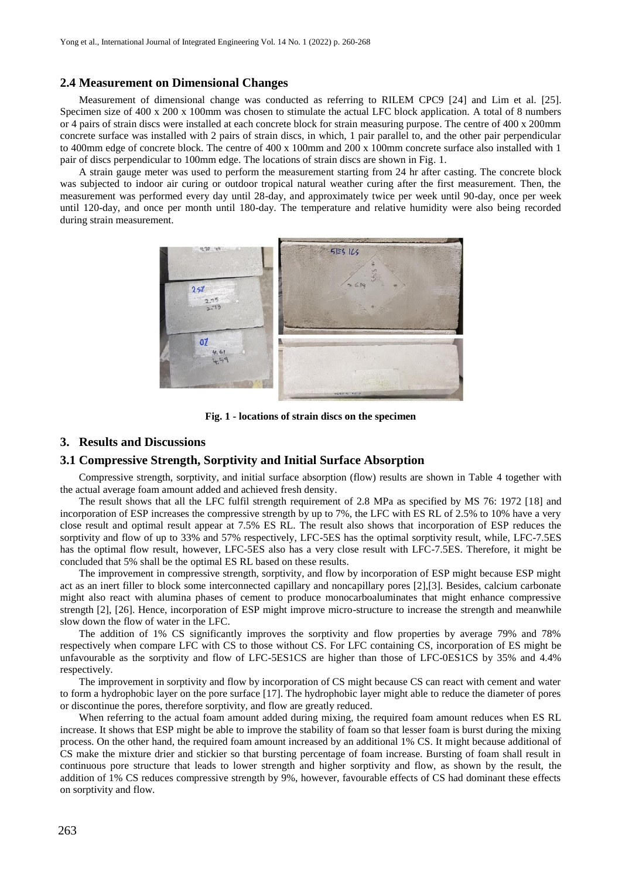#### **2.4 Measurement on Dimensional Changes**

Measurement of dimensional change was conducted as referring to RILEM CPC9 [24] and Lim et al. [25]. Specimen size of 400 x 200 x 100mm was chosen to stimulate the actual LFC block application. A total of 8 numbers or 4 pairs of strain discs were installed at each concrete block for strain measuring purpose. The centre of 400 x 200mm concrete surface was installed with 2 pairs of strain discs, in which, 1 pair parallel to, and the other pair perpendicular to 400mm edge of concrete block. The centre of 400 x 100mm and 200 x 100mm concrete surface also installed with 1 pair of discs perpendicular to 100mm edge. The locations of strain discs are shown in Fig. 1.

A strain gauge meter was used to perform the measurement starting from 24 hr after casting. The concrete block was subjected to indoor air curing or outdoor tropical natural weather curing after the first measurement. Then, the measurement was performed every day until 28-day, and approximately twice per week until 90-day, once per week until 120-day, and once per month until 180-day. The temperature and relative humidity were also being recorded during strain measurement.



**Fig. 1 - locations of strain discs on the specimen**

### **3. Results and Discussions**

#### **3.1 Compressive Strength, Sorptivity and Initial Surface Absorption**

Compressive strength, sorptivity, and initial surface absorption (flow) results are shown in Table 4 together with the actual average foam amount added and achieved fresh density.

The result shows that all the LFC fulfil strength requirement of 2.8 MPa as specified by MS 76: 1972 [18] and incorporation of ESP increases the compressive strength by up to 7%, the LFC with ES RL of 2.5% to 10% have a very close result and optimal result appear at 7.5% ES RL. The result also shows that incorporation of ESP reduces the sorptivity and flow of up to 33% and 57% respectively, LFC-5ES has the optimal sorptivity result, while, LFC-7.5ES has the optimal flow result, however, LFC-5ES also has a very close result with LFC-7.5ES. Therefore, it might be concluded that 5% shall be the optimal ES RL based on these results.

The improvement in compressive strength, sorptivity, and flow by incorporation of ESP might because ESP might act as an inert filler to block some interconnected capillary and noncapillary pores [2],[3]. Besides, calcium carbonate might also react with alumina phases of cement to produce monocarboaluminates that might enhance compressive strength [2], [26]. Hence, incorporation of ESP might improve micro-structure to increase the strength and meanwhile slow down the flow of water in the LFC.

The addition of 1% CS significantly improves the sorptivity and flow properties by average 79% and 78% respectively when compare LFC with CS to those without CS. For LFC containing CS, incorporation of ES might be unfavourable as the sorptivity and flow of LFC-5ES1CS are higher than those of LFC-0ES1CS by 35% and 4.4% respectively.

The improvement in sorptivity and flow by incorporation of CS might because CS can react with cement and water to form a hydrophobic layer on the pore surface [17]. The hydrophobic layer might able to reduce the diameter of pores or discontinue the pores, therefore sorptivity, and flow are greatly reduced.

When referring to the actual foam amount added during mixing, the required foam amount reduces when ES RL increase. It shows that ESP might be able to improve the stability of foam so that lesser foam is burst during the mixing process. On the other hand, the required foam amount increased by an additional 1% CS. It might because additional of CS make the mixture drier and stickier so that bursting percentage of foam increase. Bursting of foam shall result in continuous pore structure that leads to lower strength and higher sorptivity and flow, as shown by the result, the addition of 1% CS reduces compressive strength by 9%, however, favourable effects of CS had dominant these effects on sorptivity and flow.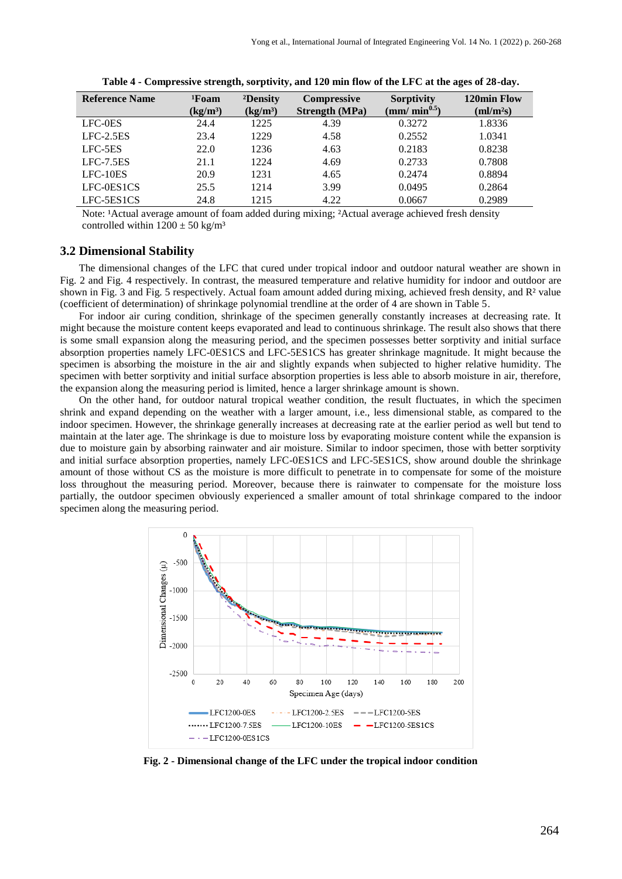| <b>Reference Name</b> | <sup>1</sup> Foam<br>(kg/m <sup>3</sup> ) | <sup>2</sup> Density<br>(kg/m <sup>3</sup> ) | <b>Compressive</b><br><b>Strength</b> (MPa) | <b>Sorptivity</b><br>(mm/ min $^{0.5})$ | 120min Flow<br>$\text{m}l/\text{m}^2\text{s}$ |
|-----------------------|-------------------------------------------|----------------------------------------------|---------------------------------------------|-----------------------------------------|-----------------------------------------------|
| LFC-0ES               | 24.4                                      | 1225                                         | 4.39                                        | 0.3272                                  | 1.8336                                        |
| $LFC-2.5ES$           | 23.4                                      | 1229                                         | 4.58                                        | 0.2552                                  | 1.0341                                        |
| LFC-5ES               | 22.0                                      | 1236                                         | 4.63                                        | 0.2183                                  | 0.8238                                        |
| $LEC-7.5ES$           | 21.1                                      | 1224                                         | 4.69                                        | 0.2733                                  | 0.7808                                        |
| $LFC-10ES$            | 20.9                                      | 1231                                         | 4.65                                        | 0.2474                                  | 0.8894                                        |
| LFC-0ES1CS            | 25.5                                      | 1214                                         | 3.99                                        | 0.0495                                  | 0.2864                                        |
| LFC-5ES1CS            | 24.8                                      | 1215                                         | 4.22                                        | 0.0667                                  | 0.2989                                        |

|  | Table 4 - Compressive strength, sorptivity, and 120 min flow of the LFC at the ages of 28-day. |  |
|--|------------------------------------------------------------------------------------------------|--|
|  |                                                                                                |  |

Note: <sup>1</sup>Actual average amount of foam added during mixing; <sup>2</sup>Actual average achieved fresh density controlled within  $1200 \pm 50$  kg/m<sup>3</sup>

#### **3.2 Dimensional Stability**

The dimensional changes of the LFC that cured under tropical indoor and outdoor natural weather are shown in Fig. 2 and Fig. 4 respectively. In contrast, the measured temperature and relative humidity for indoor and outdoor are shown in Fig. 3 and Fig. 5 respectively. Actual foam amount added during mixing, achieved fresh density, and R<sup>2</sup> value (coefficient of determination) of shrinkage polynomial trendline at the order of 4 are shown in Table 5.

For indoor air curing condition, shrinkage of the specimen generally constantly increases at decreasing rate. It might because the moisture content keeps evaporated and lead to continuous shrinkage. The result also shows that there is some small expansion along the measuring period, and the specimen possesses better sorptivity and initial surface absorption properties namely LFC-0ES1CS and LFC-5ES1CS has greater shrinkage magnitude. It might because the specimen is absorbing the moisture in the air and slightly expands when subjected to higher relative humidity. The specimen with better sorptivity and initial surface absorption properties is less able to absorb moisture in air, therefore, the expansion along the measuring period is limited, hence a larger shrinkage amount is shown.

On the other hand, for outdoor natural tropical weather condition, the result fluctuates, in which the specimen shrink and expand depending on the weather with a larger amount, i.e., less dimensional stable, as compared to the indoor specimen. However, the shrinkage generally increases at decreasing rate at the earlier period as well but tend to maintain at the later age. The shrinkage is due to moisture loss by evaporating moisture content while the expansion is due to moisture gain by absorbing rainwater and air moisture. Similar to indoor specimen, those with better sorptivity and initial surface absorption properties, namely LFC-0ES1CS and LFC-5ES1CS, show around double the shrinkage amount of those without CS as the moisture is more difficult to penetrate in to compensate for some of the moisture loss throughout the measuring period. Moreover, because there is rainwater to compensate for the moisture loss partially, the outdoor specimen obviously experienced a smaller amount of total shrinkage compared to the indoor specimen along the measuring period.



**Fig. 2 - Dimensional change of the LFC under the tropical indoor condition**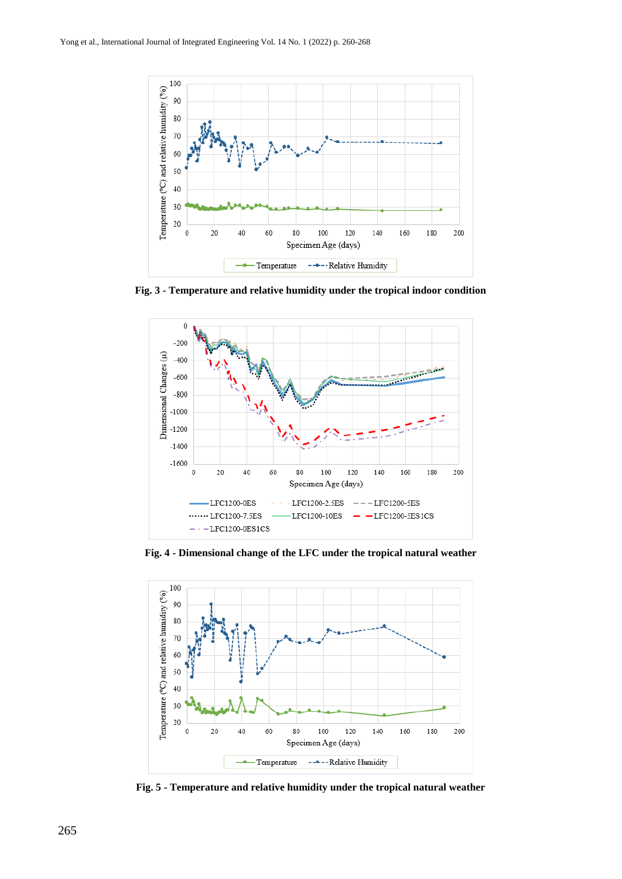

**Fig. 3 - Temperature and relative humidity under the tropical indoor condition**



**Fig. 4 - Dimensional change of the LFC under the tropical natural weather**



**Fig. 5 - Temperature and relative humidity under the tropical natural weather**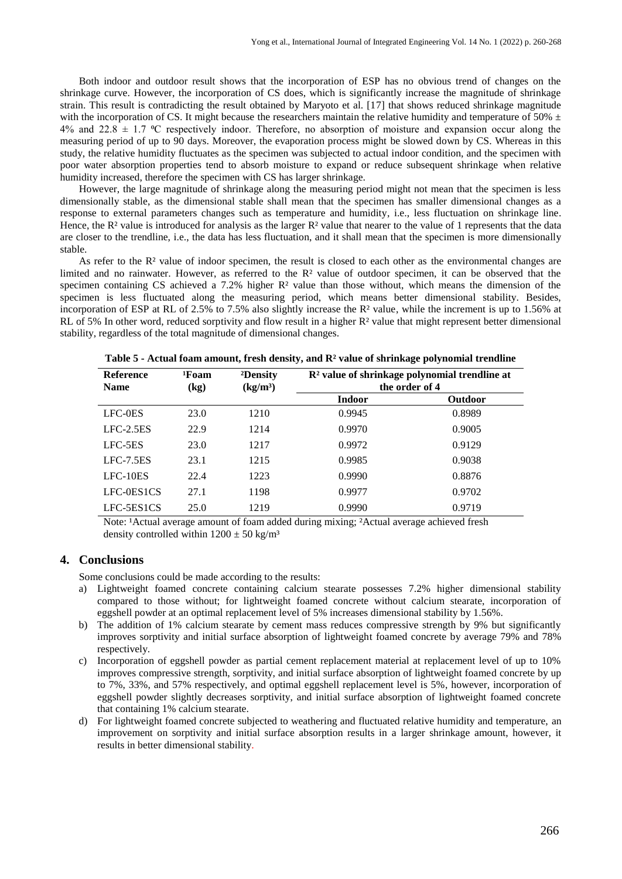Both indoor and outdoor result shows that the incorporation of ESP has no obvious trend of changes on the shrinkage curve. However, the incorporation of CS does, which is significantly increase the magnitude of shrinkage strain. This result is contradicting the result obtained by Maryoto et al. [17] that shows reduced shrinkage magnitude with the incorporation of CS. It might because the researchers maintain the relative humidity and temperature of 50%  $\pm$ 4% and 22.8  $\pm$  1.7 °C respectively indoor. Therefore, no absorption of moisture and expansion occur along the measuring period of up to 90 days. Moreover, the evaporation process might be slowed down by CS. Whereas in this study, the relative humidity fluctuates as the specimen was subjected to actual indoor condition, and the specimen with poor water absorption properties tend to absorb moisture to expand or reduce subsequent shrinkage when relative humidity increased, therefore the specimen with CS has larger shrinkage.

However, the large magnitude of shrinkage along the measuring period might not mean that the specimen is less dimensionally stable, as the dimensional stable shall mean that the specimen has smaller dimensional changes as a response to external parameters changes such as temperature and humidity, i.e., less fluctuation on shrinkage line. Hence, the  $\mathbb{R}^2$  value is introduced for analysis as the larger  $\mathbb{R}^2$  value that nearer to the value of 1 represents that the data are closer to the trendline, i.e., the data has less fluctuation, and it shall mean that the specimen is more dimensionally stable.

As refer to the R<sup>2</sup> value of indoor specimen, the result is closed to each other as the environmental changes are limited and no rainwater. However, as referred to the R² value of outdoor specimen, it can be observed that the specimen containing CS achieved a 7.2% higher  $R<sup>2</sup>$  value than those without, which means the dimension of the specimen is less fluctuated along the measuring period, which means better dimensional stability. Besides, incorporation of ESP at RL of 2.5% to 7.5% also slightly increase the R² value, while the increment is up to 1.56% at RL of 5% In other word, reduced sorptivity and flow result in a higher R<sup>2</sup> value that might represent better dimensional stability, regardless of the total magnitude of dimensional changes.

| <b>Reference</b><br><b>Name</b> | <sup>1</sup> Foam<br>(kg) | <sup>2</sup> Density<br>(kg/m <sup>3</sup> ) | $\mathbb{R}^2$ value of shrinkage polynomial trendline at<br>the order of 4 |                |  |
|---------------------------------|---------------------------|----------------------------------------------|-----------------------------------------------------------------------------|----------------|--|
|                                 |                           |                                              | <b>Indoor</b>                                                               | <b>Outdoor</b> |  |
| LFC-0ES                         | 23.0                      | 1210                                         | 0.9945                                                                      | 0.8989         |  |
| $LFC-2.5ES$                     | 22.9                      | 1214                                         | 0.9970                                                                      | 0.9005         |  |
| LFC-5ES                         | 23.0                      | 1217                                         | 0.9972                                                                      | 0.9129         |  |
| $LFC-7.5ES$                     | 23.1                      | 1215                                         | 0.9985                                                                      | 0.9038         |  |
| $LFC-10ES$                      | 22.4                      | 1223                                         | 0.9990                                                                      | 0.8876         |  |
| LFC-0ES1CS                      | 27.1                      | 1198                                         | 0.9977                                                                      | 0.9702         |  |
| LFC-5ES1CS                      | 25.0                      | 1219                                         | 0.9990                                                                      | 0.9719         |  |

**Table 5 - Actual foam amount, fresh density, and R² value of shrinkage polynomial trendline**

Note: <sup>1</sup>Actual average amount of foam added during mixing; <sup>2</sup>Actual average achieved fresh density controlled within  $1200 \pm 50$  kg/m<sup>3</sup>

#### **4. Conclusions**

Some conclusions could be made according to the results:

- a) Lightweight foamed concrete containing calcium stearate possesses 7.2% higher dimensional stability compared to those without; for lightweight foamed concrete without calcium stearate, incorporation of eggshell powder at an optimal replacement level of 5% increases dimensional stability by 1.56%.
- b) The addition of 1% calcium stearate by cement mass reduces compressive strength by 9% but significantly improves sorptivity and initial surface absorption of lightweight foamed concrete by average 79% and 78% respectively.
- c) Incorporation of eggshell powder as partial cement replacement material at replacement level of up to 10% improves compressive strength, sorptivity, and initial surface absorption of lightweight foamed concrete by up to 7%, 33%, and 57% respectively, and optimal eggshell replacement level is 5%, however, incorporation of eggshell powder slightly decreases sorptivity, and initial surface absorption of lightweight foamed concrete that containing 1% calcium stearate.
- For lightweight foamed concrete subjected to weathering and fluctuated relative humidity and temperature, an improvement on sorptivity and initial surface absorption results in a larger shrinkage amount, however, it results in better dimensional stability.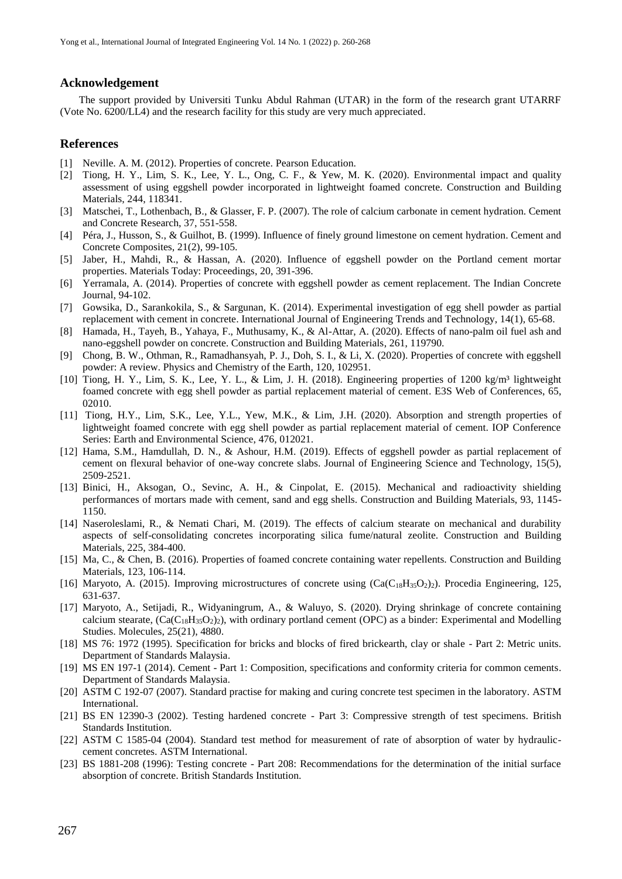# **Acknowledgement**

The support provided by Universiti Tunku Abdul Rahman (UTAR) in the form of the research grant UTARRF (Vote No. 6200/LL4) and the research facility for this study are very much appreciated.

#### **References**

- [1] Neville. A. M. (2012). Properties of concrete. Pearson Education.
- [2] Tiong, H. Y., Lim, S. K., Lee, Y. L., Ong, C. F., & Yew, M. K. (2020). Environmental impact and quality assessment of using eggshell powder incorporated in lightweight foamed concrete. Construction and Building Materials, 244, 118341.
- [3] Matschei, T., Lothenbach, B., & Glasser, F. P. (2007). The role of calcium carbonate in cement hydration. Cement and Concrete Research, 37, 551-558.
- [4] Péra, J., Husson, S., & Guilhot, B. (1999). Influence of finely ground limestone on cement hydration. Cement and Concrete Composites, 21(2), 99-105.
- [5] Jaber, H., Mahdi, R., & Hassan, A. (2020). Influence of eggshell powder on the Portland cement mortar properties. Materials Today: Proceedings, 20, 391-396.
- [6] Yerramala, A. (2014). Properties of concrete with eggshell powder as cement replacement. The Indian Concrete Journal, 94-102.
- [7] Gowsika, D., Sarankokila, S., & Sargunan, K. (2014). Experimental investigation of egg shell powder as partial replacement with cement in concrete. International Journal of Engineering Trends and Technology, 14(1), 65-68.
- [8] Hamada, H., Tayeh, B., Yahaya, F., Muthusamy, K., & Al-Attar, A. (2020). Effects of nano-palm oil fuel ash and nano-eggshell powder on concrete. Construction and Building Materials, 261, 119790.
- [9] Chong, B. W., Othman, R., Ramadhansyah, P. J., Doh, S. I., & Li, X. (2020). Properties of concrete with eggshell powder: A review. Physics and Chemistry of the Earth, 120, 102951.
- [10] Tiong, H. Y., Lim, S. K., Lee, Y. L., & Lim, J. H. (2018). Engineering properties of 1200 kg/m<sup>3</sup> lightweight foamed concrete with egg shell powder as partial replacement material of cement. E3S Web of Conferences, 65, 02010.
- [11] Tiong, H.Y., Lim, S.K., Lee, Y.L., Yew, M.K., & Lim, J.H. (2020). Absorption and strength properties of lightweight foamed concrete with egg shell powder as partial replacement material of cement. IOP Conference Series: Earth and Environmental Science, 476, 012021.
- [12] Hama, S.M., Hamdullah, D. N., & Ashour, H.M. (2019). Effects of eggshell powder as partial replacement of cement on flexural behavior of one-way concrete slabs. Journal of Engineering Science and Technology, 15(5), 2509-2521.
- [13] Binici, H., Aksogan, O., Sevinc, A. H., & Cinpolat, E. (2015). Mechanical and radioactivity shielding performances of mortars made with cement, sand and egg shells. Construction and Building Materials, 93, 1145- 1150.
- [14] Naseroleslami, R., & Nemati Chari, M. (2019). The effects of calcium stearate on mechanical and durability aspects of self-consolidating concretes incorporating silica fume/natural zeolite. Construction and Building Materials, 225, 384-400.
- [15] Ma, C., & Chen, B. (2016). Properties of foamed concrete containing water repellents. Construction and Building Materials, 123, 106-114.
- [16] Maryoto, A. (2015). Improving microstructures of concrete using  $(Ca(C_{18}H_{35}O_2)_2)$ . Procedia Engineering, 125, 631-637.
- [17] Maryoto, A., Setijadi, R., Widyaningrum, A., & Waluyo, S. (2020). Drying shrinkage of concrete containing calcium stearate,  $(Ca(C_{18}H_{35}O_2)_2)$ , with ordinary portland cement (OPC) as a binder: Experimental and Modelling Studies. Molecules, 25(21), 4880.
- [18] MS 76: 1972 (1995). Specification for bricks and blocks of fired brickearth, clay or shale Part 2: Metric units. Department of Standards Malaysia.
- [19] MS EN 197-1 (2014). Cement Part 1: Composition, specifications and conformity criteria for common cements. Department of Standards Malaysia.
- [20] ASTM C 192-07 (2007). Standard practise for making and curing concrete test specimen in the laboratory. ASTM International.
- [21] BS EN 12390-3 (2002). Testing hardened concrete Part 3: Compressive strength of test specimens. British Standards Institution.
- [22] ASTM C 1585-04 (2004). Standard test method for measurement of rate of absorption of water by hydrauliccement concretes. ASTM International.
- [23] BS 1881-208 (1996): Testing concrete Part 208: Recommendations for the determination of the initial surface absorption of concrete. British Standards Institution.